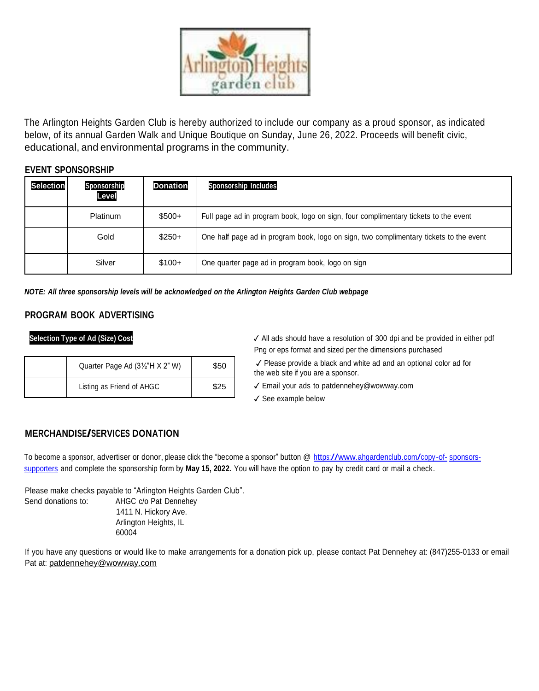

The Arlington Heights Garden Club is hereby authorized to include our company as a proud sponsor, as indicated below, of its annual Garden Walk and Unique Boutique on Sunday, June 26, 2022. Proceeds will benefit civic, educational, and environmental programs in the community.

## **EVENT SPONSORSHIP**

| <b>Selection</b> | Sponsorship<br>Level | <b>Donation</b> | <b>Sponsorship Includes</b>                                                            |
|------------------|----------------------|-----------------|----------------------------------------------------------------------------------------|
|                  | <b>Platinum</b>      | $$500+$         | Full page ad in program book, logo on sign, four complimentary tickets to the event    |
|                  | Gold                 | $$250+$         | One half page ad in program book, logo on sign, two complimentary tickets to the event |
|                  | Silver               | $$100+$         | One quarter page ad in program book, logo on sign                                      |

*NOTE: All three sponsorship levels will be acknowledged on the Arlington Heights Garden Club webpage*

## **PROGRAM BOOK ADVERTISING**

| Quarter Page Ad (3½"H X 2" W) | \$50 |
|-------------------------------|------|
| Listing as Friend of AHGC     | \$25 |

**Selection Type of Ad (Size) Cost** ✓ All ads should have a resolution of 300 dpi and be provided in either pdf Png or eps format and sized per the dimensions purchased

> ✓ Please provide a black and white ad and an optional color ad for the web site if you are a sponsor.

✓ Email your ads to [patdennehey@wowway.com](mailto:patdennehey@wowway.com)

✓ See example below

## **MERCHANDISE/SERVICES DONATION**

To become a sponsor, advertiser or donor, please click the "become a sponsor" button @ [https://www.ahgardenclub.com/copy-of-](https://www.ahgardenclub.com/copy-of-sponsors-supporters) [sponsors](https://www.ahgardenclub.com/copy-of-sponsors-supporters)[supporters](https://www.ahgardenclub.com/copy-of-sponsors-supporters) and complete the sponsorship form by **May 15, 2022.** You will have the option to pay by credit card or mail a check.

Please make checks payable to "Arlington Heights Garden Club". Send donations to: AHGC c/o Pat Dennehey 1411 N. Hickory Ave. Arlington Heights, IL 60004

If you have any questions or would like to make arrangements for a donation pick up, please contact Pat Dennehey at: (847)255-0133 or email Pat at: [patdennehey@wowway.com](mailto:patdennehey@wowway.com)